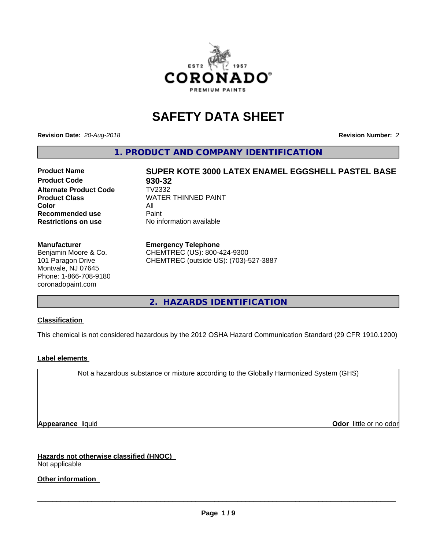

# **SAFETY DATA SHEET**

**Revision Date:** *20-Aug-2018* **Revision Number:** *2*

**1. PRODUCT AND COMPANY IDENTIFICATION**

# **Product Name SUPER KOTE 3000 LATEX ENAMEL EGGSHELL PASTEL BASE**

**Product Code 68 930-32**<br>**Alternate Product Code 68 7V2332 Alternate Product Code Color** All All<br>**Recommended use** Paint **Recommended use Restrictions on use** No information available

**Product Class WATER THINNED PAINT** 

### **Manufacturer**

Benjamin Moore & Co. 101 Paragon Drive Montvale, NJ 07645 Phone: 1-866-708-9180 coronadopaint.com

### **Emergency Telephone**

CHEMTREC (US): 800-424-9300 CHEMTREC (outside US): (703)-527-3887

**2. HAZARDS IDENTIFICATION**

### **Classification**

This chemical is not considered hazardous by the 2012 OSHA Hazard Communication Standard (29 CFR 1910.1200)

### **Label elements**

Not a hazardous substance or mixture according to the Globally Harmonized System (GHS)

**Appearance** liquid **Contract Contract Contract Contract Contract Contract Contract Contract Contract Contract Contract Contract Contract Contract Contract Contract Contract Contract Contract Contract Contract Contract Con** 

**Hazards not otherwise classified (HNOC)** Not applicable

**Other information**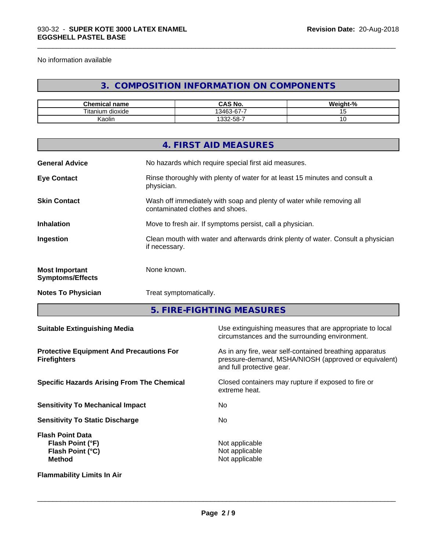No information available

# **3. COMPOSITION INFORMATION ON COMPONENTS**

\_\_\_\_\_\_\_\_\_\_\_\_\_\_\_\_\_\_\_\_\_\_\_\_\_\_\_\_\_\_\_\_\_\_\_\_\_\_\_\_\_\_\_\_\_\_\_\_\_\_\_\_\_\_\_\_\_\_\_\_\_\_\_\_\_\_\_\_\_\_\_\_\_\_\_\_\_\_\_\_\_\_\_\_\_\_\_\_\_\_\_\_\_

| $\sim$<br>$-$<br>name<br>nemical | $\sim$ 11<br>$\mathbf{L}$<br>CAS No.               | .<br>- 70 |
|----------------------------------|----------------------------------------------------|-----------|
| $- -$<br>l itan<br>dioxide<br>um | --<br>$\sim$<br>$\sim$<br>$\overline{\phantom{0}}$ |           |
| . .<br>Kaolin                    | -32-58-7                                           | ັ         |

|                                                  | 4. FIRST AID MEASURES                                                                                    |
|--------------------------------------------------|----------------------------------------------------------------------------------------------------------|
| <b>General Advice</b>                            | No hazards which require special first aid measures.                                                     |
| <b>Eye Contact</b>                               | Rinse thoroughly with plenty of water for at least 15 minutes and consult a<br>physician.                |
| <b>Skin Contact</b>                              | Wash off immediately with soap and plenty of water while removing all<br>contaminated clothes and shoes. |
| <b>Inhalation</b>                                | Move to fresh air. If symptoms persist, call a physician.                                                |
| Ingestion                                        | Clean mouth with water and afterwards drink plenty of water. Consult a physician<br>if necessary.        |
| <b>Most Important</b><br><b>Symptoms/Effects</b> | None known.                                                                                              |
| <b>Notes To Physician</b>                        | Treat symptomatically.                                                                                   |
|                                                  |                                                                                                          |

**5. FIRE-FIGHTING MEASURES**

| <b>Suitable Extinguishing Media</b>                                                     | Use extinguishing measures that are appropriate to local<br>circumstances and the surrounding environment.                                   |
|-----------------------------------------------------------------------------------------|----------------------------------------------------------------------------------------------------------------------------------------------|
| <b>Protective Equipment And Precautions For</b><br><b>Firefighters</b>                  | As in any fire, wear self-contained breathing apparatus<br>pressure-demand, MSHA/NIOSH (approved or equivalent)<br>and full protective gear. |
| <b>Specific Hazards Arising From The Chemical</b>                                       | Closed containers may rupture if exposed to fire or<br>extreme heat.                                                                         |
| <b>Sensitivity To Mechanical Impact</b>                                                 | No.                                                                                                                                          |
| <b>Sensitivity To Static Discharge</b>                                                  | No.                                                                                                                                          |
| <b>Flash Point Data</b><br>Flash Point (°F)<br><b>Flash Point (°C)</b><br><b>Method</b> | Not applicable<br>Not applicable<br>Not applicable                                                                                           |
| <b>Flammability Limits In Air</b>                                                       |                                                                                                                                              |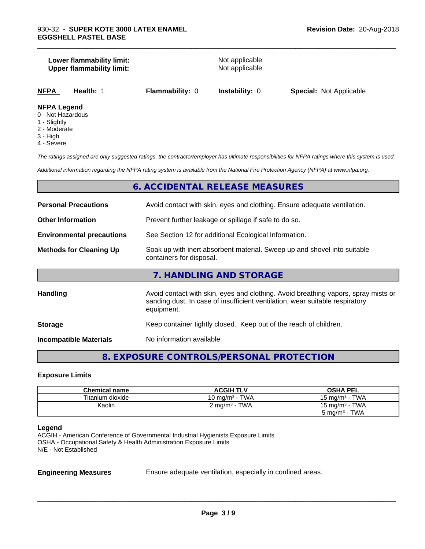### **Lower flammability limit:**<br> **Upper flammability limit:**<br>
Upper flammability limit:<br>
Not applicable **Upper flammability limit:**

\_\_\_\_\_\_\_\_\_\_\_\_\_\_\_\_\_\_\_\_\_\_\_\_\_\_\_\_\_\_\_\_\_\_\_\_\_\_\_\_\_\_\_\_\_\_\_\_\_\_\_\_\_\_\_\_\_\_\_\_\_\_\_\_\_\_\_\_\_\_\_\_\_\_\_\_\_\_\_\_\_\_\_\_\_\_\_\_\_\_\_\_\_

| <b>NFPA</b><br><b>Flammability: 0</b><br><b>Special: Not Applicable</b><br><b>Instability: 0</b><br>Health: 1 |
|---------------------------------------------------------------------------------------------------------------|
|---------------------------------------------------------------------------------------------------------------|

### **NFPA Legend**

- 0 Not Hazardous
- 1 Slightly
- 2 Moderate
- 3 High
- 4 Severe

*The ratings assigned are only suggested ratings, the contractor/employer has ultimate responsibilities for NFPA ratings where this system is used.*

*Additional information regarding the NFPA rating system is available from the National Fire Protection Agency (NFPA) at www.nfpa.org.*

### **6. ACCIDENTAL RELEASE MEASURES**

| <b>Personal Precautions</b>      | Avoid contact with skin, eyes and clothing. Ensure adequate ventilation.                                                                                                         |
|----------------------------------|----------------------------------------------------------------------------------------------------------------------------------------------------------------------------------|
| <b>Other Information</b>         | Prevent further leakage or spillage if safe to do so.                                                                                                                            |
| <b>Environmental precautions</b> | See Section 12 for additional Ecological Information.                                                                                                                            |
| <b>Methods for Cleaning Up</b>   | Soak up with inert absorbent material. Sweep up and shovel into suitable<br>containers for disposal.                                                                             |
|                                  | 7. HANDLING AND STORAGE                                                                                                                                                          |
| Handling                         | Avoid contact with skin, eyes and clothing. Avoid breathing vapors, spray mists or<br>sanding dust. In case of insufficient ventilation, wear suitable respiratory<br>equipment. |
| <b>Storage</b>                   | Keep container tightly closed. Keep out of the reach of children.                                                                                                                |
| <b>Incompatible Materials</b>    | No information available                                                                                                                                                         |

## **8. EXPOSURE CONTROLS/PERSONAL PROTECTION**

### **Exposure Limits**

| <b>Chemical name</b> | <b>ACGIH TLV</b>          | <b>OSHA PEL</b>            |
|----------------------|---------------------------|----------------------------|
| Titanium dioxide     | 10 mg/m $3$ - TWA         | 15 mg/m $3$ - TWA          |
| Kaolin               | 2 mg/m <sup>3</sup> - TWA | 15 mg/m <sup>3</sup> - TWA |
|                      |                           | $5 \text{ mg/m}^3$ - TWA   |

### **Legend**

ACGIH - American Conference of Governmental Industrial Hygienists Exposure Limits OSHA - Occupational Safety & Health Administration Exposure Limits N/E - Not Established

**Engineering Measures** Ensure adequate ventilation, especially in confined areas.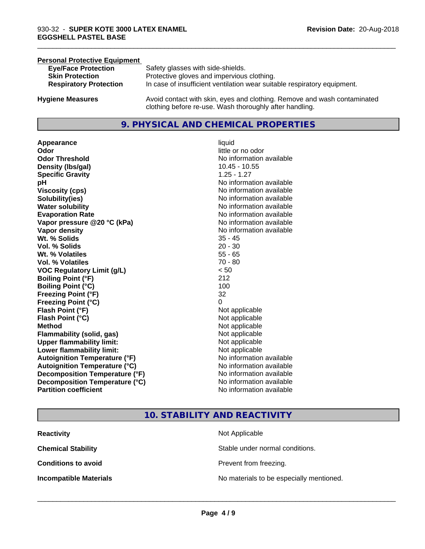### **Personal Protective Equipment**

| <b>Eye/Face Protection</b>    | Safety glasses with side-shields.                                        |
|-------------------------------|--------------------------------------------------------------------------|
| <b>Skin Protection</b>        | Protective gloves and impervious clothing.                               |
| <b>Respiratory Protection</b> | In case of insufficient ventilation wear suitable respiratory equipment. |
| <b>Hygiene Measures</b>       | Avoid contact with skin, eyes and clothing. Remove and wash contaminated |

### **9. PHYSICAL AND CHEMICAL PROPERTIES**

clothing before re-use. Wash thoroughly after handling.

**Appearance** liquid **Odor**<br> **Odor Threshold**<br> **Odor Threshold**<br> **CODOR**<br> **CODOR**<br> **CODOR**<br> **CODOR**<br> **CODOR**<br> **CODOR**<br> **CODOR**<br> **CODOR**<br> **CODOR**<br> **CODOR Density (Ibs/gal)** 10.45 - 10.55 **Specific Gravity** 1.25 - 1.27 **pH pH**  $\blacksquare$ **Viscosity (cps)** No information available **Solubility(ies)** No information available **Water solubility** No information available **Evaporation Rate No information available No information available Vapor pressure @20 °C (kPa)** No information available **Vapor density No information available No information available Wt. % Solids** 35 - 45 **Vol. % Solids** 20 - 30 **Wt. % Volatiles** 55 - 65 **Vol. % Volatiles** 70 - 80 **VOC Regulatory Limit (g/L)** < 50 **Boiling Point (°F)** 212 **Boiling Point (°C)** 100 **Freezing Point (°F)** 32 **Freezing Point (°C)** 0 **Flash Point (°F)**<br> **Flash Point (°C)**<br> **Flash Point (°C)**<br> **Point (°C)**<br> **Point (°C)**<br> **Point (°C)**<br> **Point (°C)**<br> **Point (°C) Flash Point (°C) Method** Not applicable Not applicable **Flammability (solid, gas)** Not applicable **Upper flammability limit:** Not applicable **Lower flammability limit:** Not applicable **Autoignition Temperature (°F)** No information available **Autoignition Temperature (°C)** No information available **Decomposition Temperature (°F)**<br> **Decomposition Temperature (°C)** No information available **Decomposition Temperature (°C) Partition coefficient Contract Community No information available** 

# **No information available**

\_\_\_\_\_\_\_\_\_\_\_\_\_\_\_\_\_\_\_\_\_\_\_\_\_\_\_\_\_\_\_\_\_\_\_\_\_\_\_\_\_\_\_\_\_\_\_\_\_\_\_\_\_\_\_\_\_\_\_\_\_\_\_\_\_\_\_\_\_\_\_\_\_\_\_\_\_\_\_\_\_\_\_\_\_\_\_\_\_\_\_\_\_

### **10. STABILITY AND REACTIVITY**

| <b>Reactivity</b>             | Not Applicable                           |
|-------------------------------|------------------------------------------|
| <b>Chemical Stability</b>     | Stable under normal conditions.          |
| <b>Conditions to avoid</b>    | Prevent from freezing.                   |
| <b>Incompatible Materials</b> | No materials to be especially mentioned. |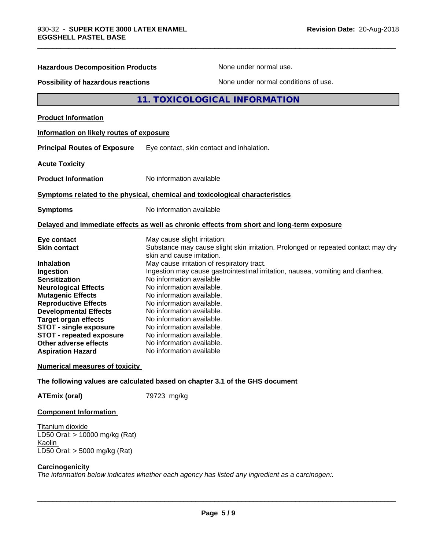| <b>Hazardous Decomposition Products</b>                                                                                                                                                                                                                                                                                                            | None under normal use.                                                                                                                                                                                                                                                                                                                                                                                                                                                                                                                               |  |
|----------------------------------------------------------------------------------------------------------------------------------------------------------------------------------------------------------------------------------------------------------------------------------------------------------------------------------------------------|------------------------------------------------------------------------------------------------------------------------------------------------------------------------------------------------------------------------------------------------------------------------------------------------------------------------------------------------------------------------------------------------------------------------------------------------------------------------------------------------------------------------------------------------------|--|
| None under normal conditions of use.<br><b>Possibility of hazardous reactions</b>                                                                                                                                                                                                                                                                  |                                                                                                                                                                                                                                                                                                                                                                                                                                                                                                                                                      |  |
|                                                                                                                                                                                                                                                                                                                                                    | 11. TOXICOLOGICAL INFORMATION                                                                                                                                                                                                                                                                                                                                                                                                                                                                                                                        |  |
| <b>Product Information</b>                                                                                                                                                                                                                                                                                                                         |                                                                                                                                                                                                                                                                                                                                                                                                                                                                                                                                                      |  |
| Information on likely routes of exposure                                                                                                                                                                                                                                                                                                           |                                                                                                                                                                                                                                                                                                                                                                                                                                                                                                                                                      |  |
| <b>Principal Routes of Exposure</b>                                                                                                                                                                                                                                                                                                                | Eye contact, skin contact and inhalation.                                                                                                                                                                                                                                                                                                                                                                                                                                                                                                            |  |
| <b>Acute Toxicity</b>                                                                                                                                                                                                                                                                                                                              |                                                                                                                                                                                                                                                                                                                                                                                                                                                                                                                                                      |  |
| <b>Product Information</b>                                                                                                                                                                                                                                                                                                                         | No information available                                                                                                                                                                                                                                                                                                                                                                                                                                                                                                                             |  |
|                                                                                                                                                                                                                                                                                                                                                    | Symptoms related to the physical, chemical and toxicological characteristics                                                                                                                                                                                                                                                                                                                                                                                                                                                                         |  |
| <b>Symptoms</b>                                                                                                                                                                                                                                                                                                                                    | No information available                                                                                                                                                                                                                                                                                                                                                                                                                                                                                                                             |  |
|                                                                                                                                                                                                                                                                                                                                                    | Delayed and immediate effects as well as chronic effects from short and long-term exposure                                                                                                                                                                                                                                                                                                                                                                                                                                                           |  |
| Eye contact<br><b>Skin contact</b><br><b>Inhalation</b><br>Ingestion<br><b>Sensitization</b><br><b>Neurological Effects</b><br><b>Mutagenic Effects</b><br><b>Reproductive Effects</b><br><b>Developmental Effects</b><br><b>Target organ effects</b><br><b>STOT - single exposure</b><br><b>STOT - repeated exposure</b><br>Other adverse effects | May cause slight irritation.<br>Substance may cause slight skin irritation. Prolonged or repeated contact may dry<br>skin and cause irritation.<br>May cause irritation of respiratory tract.<br>Ingestion may cause gastrointestinal irritation, nausea, vomiting and diarrhea.<br>No information available<br>No information available.<br>No information available.<br>No information available.<br>No information available.<br>No information available.<br>No information available.<br>No information available.<br>No information available. |  |
| <b>Aspiration Hazard</b>                                                                                                                                                                                                                                                                                                                           | No information available                                                                                                                                                                                                                                                                                                                                                                                                                                                                                                                             |  |
| <b>Numerical measures of toxicity</b>                                                                                                                                                                                                                                                                                                              |                                                                                                                                                                                                                                                                                                                                                                                                                                                                                                                                                      |  |
|                                                                                                                                                                                                                                                                                                                                                    | The following values are calculated based on chapter 3.1 of the GHS document                                                                                                                                                                                                                                                                                                                                                                                                                                                                         |  |
| <b>ATEmix (oral)</b>                                                                                                                                                                                                                                                                                                                               | 79723 mg/kg                                                                                                                                                                                                                                                                                                                                                                                                                                                                                                                                          |  |

\_\_\_\_\_\_\_\_\_\_\_\_\_\_\_\_\_\_\_\_\_\_\_\_\_\_\_\_\_\_\_\_\_\_\_\_\_\_\_\_\_\_\_\_\_\_\_\_\_\_\_\_\_\_\_\_\_\_\_\_\_\_\_\_\_\_\_\_\_\_\_\_\_\_\_\_\_\_\_\_\_\_\_\_\_\_\_\_\_\_\_\_\_

### **Component Information**

Titanium dioxide LD50 Oral: > 10000 mg/kg (Rat) Kaolin LD50 Oral: > 5000 mg/kg (Rat)

### **Carcinogenicity**

*The information below indicateswhether each agency has listed any ingredient as a carcinogen:.*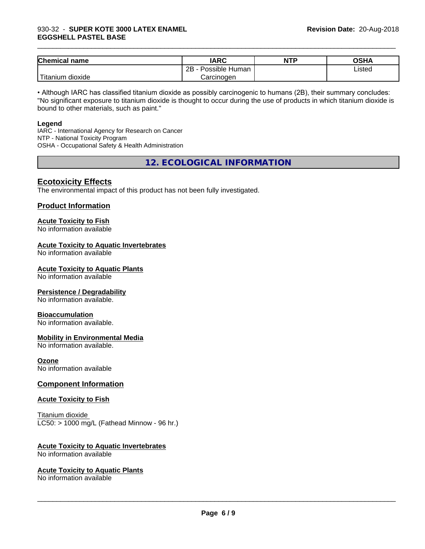### 930-32 - **SUPER KOTE 3000 LATEX ENAMEL EGGSHELL PASTEL BASE**

| <b>Chemical name</b>    | <b>IARC</b>               | <b>NTP</b> | OSHA   |
|-------------------------|---------------------------|------------|--------|
|                         | .<br>2B<br>Possible Human |            | Listed |
| ' Titanium .<br>dioxide | Carcinogen                |            |        |

\_\_\_\_\_\_\_\_\_\_\_\_\_\_\_\_\_\_\_\_\_\_\_\_\_\_\_\_\_\_\_\_\_\_\_\_\_\_\_\_\_\_\_\_\_\_\_\_\_\_\_\_\_\_\_\_\_\_\_\_\_\_\_\_\_\_\_\_\_\_\_\_\_\_\_\_\_\_\_\_\_\_\_\_\_\_\_\_\_\_\_\_\_

• Although IARC has classified titanium dioxide as possibly carcinogenic to humans (2B), their summary concludes: "No significant exposure to titanium dioxide is thought to occur during the use of products in which titanium dioxide is bound to other materials, such as paint."

### **Legend**

IARC - International Agency for Research on Cancer NTP - National Toxicity Program OSHA - Occupational Safety & Health Administration

**12. ECOLOGICAL INFORMATION**

### **Ecotoxicity Effects**

The environmental impact of this product has not been fully investigated.

### **Product Information**

# **Acute Toxicity to Fish**

No information available

### **Acute Toxicity to Aquatic Invertebrates**

No information available

### **Acute Toxicity to Aquatic Plants**

No information available

### **Persistence / Degradability**

No information available.

### **Bioaccumulation**

No information available.

### **Mobility in Environmental Media**

No information available.

### **Ozone**

No information available

### **Component Information**

### **Acute Toxicity to Fish**

Titanium dioxide  $LC50:$  > 1000 mg/L (Fathead Minnow - 96 hr.)

### **Acute Toxicity to Aquatic Invertebrates**

No information available

### **Acute Toxicity to Aquatic Plants**

No information available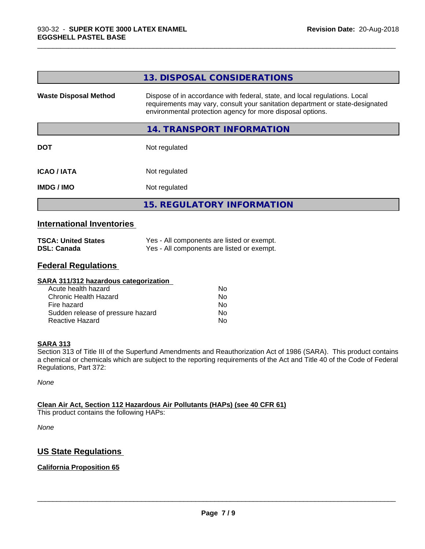|                              | 13. DISPOSAL CONSIDERATIONS                                                                                                                                                                                               |
|------------------------------|---------------------------------------------------------------------------------------------------------------------------------------------------------------------------------------------------------------------------|
| <b>Waste Disposal Method</b> | Dispose of in accordance with federal, state, and local regulations. Local<br>requirements may vary, consult your sanitation department or state-designated<br>environmental protection agency for more disposal options. |
|                              | 14. TRANSPORT INFORMATION                                                                                                                                                                                                 |
| <b>DOT</b>                   | Not regulated                                                                                                                                                                                                             |
| <b>ICAO / IATA</b>           | Not regulated                                                                                                                                                                                                             |
| <b>IMDG / IMO</b>            | Not regulated                                                                                                                                                                                                             |
|                              | <b>15. REGULATORY INFORMATION</b>                                                                                                                                                                                         |

\_\_\_\_\_\_\_\_\_\_\_\_\_\_\_\_\_\_\_\_\_\_\_\_\_\_\_\_\_\_\_\_\_\_\_\_\_\_\_\_\_\_\_\_\_\_\_\_\_\_\_\_\_\_\_\_\_\_\_\_\_\_\_\_\_\_\_\_\_\_\_\_\_\_\_\_\_\_\_\_\_\_\_\_\_\_\_\_\_\_\_\_\_

### **International Inventories**

| <b>TSCA: United States</b> | Yes - All components are listed or exempt. |
|----------------------------|--------------------------------------------|
| <b>DSL: Canada</b>         | Yes - All components are listed or exempt. |

### **Federal Regulations**

| SARA 311/312 hazardous categorization |    |  |
|---------------------------------------|----|--|
| Acute health hazard                   | Nο |  |
| Chronic Health Hazard                 | No |  |
| Fire hazard                           | No |  |
| Sudden release of pressure hazard     | No |  |
| Reactive Hazard                       | No |  |

### **SARA 313**

Section 313 of Title III of the Superfund Amendments and Reauthorization Act of 1986 (SARA). This product contains a chemical or chemicals which are subject to the reporting requirements of the Act and Title 40 of the Code of Federal Regulations, Part 372:

*None*

### **Clean Air Act,Section 112 Hazardous Air Pollutants (HAPs) (see 40 CFR 61)**

This product contains the following HAPs:

*None*

### **US State Regulations**

### **California Proposition 65**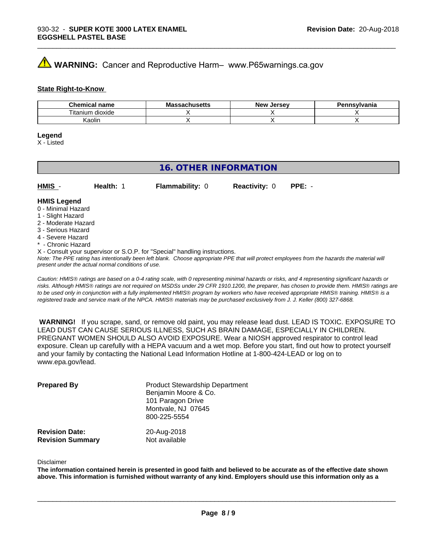# **AVIMARNING:** Cancer and Reproductive Harm– www.P65warnings.ca.gov

### **State Right-to-Know**

| Chemical<br>name      | M۰<br>.ehee <del>l</del> k<br>No<br>⊶atiluscus | <b>Jersev</b><br><b>Nev</b> | Pennsvlvania |
|-----------------------|------------------------------------------------|-----------------------------|--------------|
| ⊦dioxide<br>l itanium |                                                |                             |              |
| Kaolin                |                                                |                             |              |

\_\_\_\_\_\_\_\_\_\_\_\_\_\_\_\_\_\_\_\_\_\_\_\_\_\_\_\_\_\_\_\_\_\_\_\_\_\_\_\_\_\_\_\_\_\_\_\_\_\_\_\_\_\_\_\_\_\_\_\_\_\_\_\_\_\_\_\_\_\_\_\_\_\_\_\_\_\_\_\_\_\_\_\_\_\_\_\_\_\_\_\_\_

### **Legend**

X - Listed

### **16. OTHER INFORMATION**

| HMIS                | <b>Health:</b> | <b>Flammability: 0</b> | <b>Reactivity: 0</b> | $PPE: -$ |  |
|---------------------|----------------|------------------------|----------------------|----------|--|
| <b>LIMIC Logand</b> |                |                        |                      |          |  |

### **HMIS Legend** 0 - Minimal Hazard

- 1 Slight Hazard
- 2 Moderate Hazard
- 3 Serious Hazard
- 4 Severe Hazard
- \* Chronic Hazard
- X Consult your supervisor or S.O.P. for "Special" handling instructions.

*Note: The PPE rating has intentionally been left blank. Choose appropriate PPE that will protect employees from the hazards the material will present under the actual normal conditions of use.*

*Caution: HMISÒ ratings are based on a 0-4 rating scale, with 0 representing minimal hazards or risks, and 4 representing significant hazards or risks. Although HMISÒ ratings are not required on MSDSs under 29 CFR 1910.1200, the preparer, has chosen to provide them. HMISÒ ratings are to be used only in conjunction with a fully implemented HMISÒ program by workers who have received appropriate HMISÒ training. HMISÒ is a registered trade and service mark of the NPCA. HMISÒ materials may be purchased exclusively from J. J. Keller (800) 327-6868.*

 **WARNING!** If you scrape, sand, or remove old paint, you may release lead dust. LEAD IS TOXIC. EXPOSURE TO LEAD DUST CAN CAUSE SERIOUS ILLNESS, SUCH AS BRAIN DAMAGE, ESPECIALLY IN CHILDREN. PREGNANT WOMEN SHOULD ALSO AVOID EXPOSURE.Wear a NIOSH approved respirator to control lead exposure. Clean up carefully with a HEPA vacuum and a wet mop. Before you start, find out how to protect yourself and your family by contacting the National Lead Information Hotline at 1-800-424-LEAD or log on to www.epa.gov/lead.

| <b>Prepared By</b>                               | <b>Product Stewardship Department</b><br>Benjamin Moore & Co.<br>101 Paragon Drive<br>Montvale, NJ 07645<br>800-225-5554 |  |
|--------------------------------------------------|--------------------------------------------------------------------------------------------------------------------------|--|
| <b>Revision Date:</b><br><b>Revision Summary</b> | 20-Aug-2018<br>Not available                                                                                             |  |

### Disclaimer

The information contained herein is presented in good faith and believed to be accurate as of the effective date shown above. This information is furnished without warranty of any kind. Employers should use this information only as a